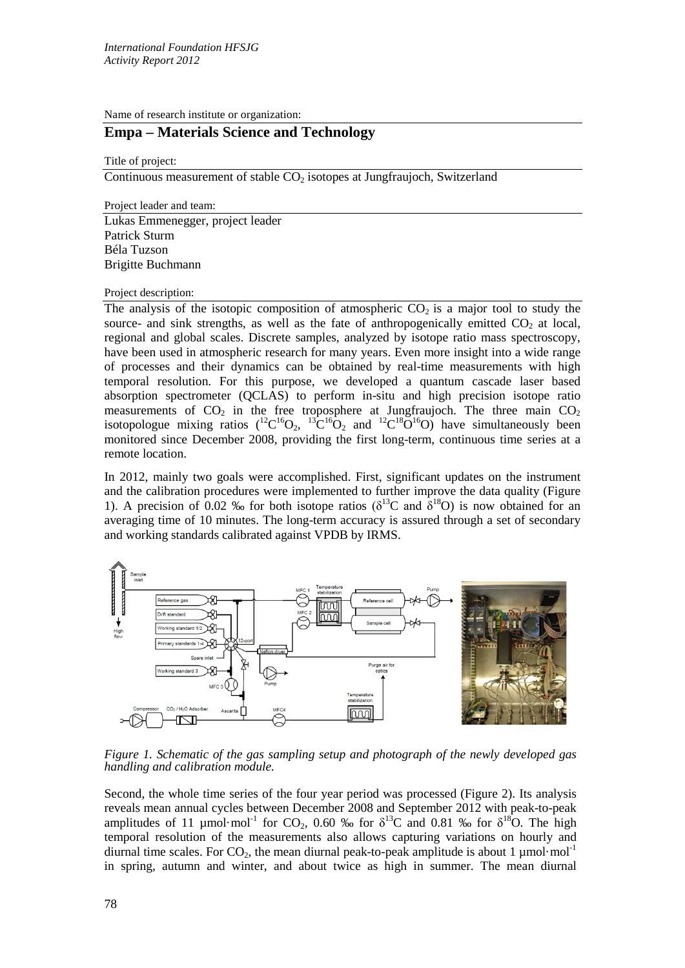Name of research institute or organization:

# **Empa – Materials Science and Technology**

Title of project:

Continuous measurement of stable  $CO<sub>2</sub>$  isotopes at Jungfraujoch, Switzerland

Project leader and team:

Lukas Emmenegger, project leader Patrick Sturm Béla Tuzson Brigitte Buchmann

Project description:

The analysis of the isotopic composition of atmospheric  $CO<sub>2</sub>$  is a major tool to study the source- and sink strengths, as well as the fate of anthropogenically emitted  $CO<sub>2</sub>$  at local, regional and global scales. Discrete samples, analyzed by isotope ratio mass spectroscopy, have been used in atmospheric research for many years. Even more insight into a wide range of processes and their dynamics can be obtained by real-time measurements with high temporal resolution. For this purpose, we developed a quantum cascade laser based absorption spectrometer (QCLAS) to perform in-situ and high precision isotope ratio measurements of  $CO<sub>2</sub>$  in the free troposphere at Jungfraujoch. The three main  $CO<sub>2</sub>$ isotopologue mixing ratios  $(^{12}C^{16}O_2, ^{13}C^{16}O_2$  and  $(^{12}C^{18}O^{16}O)$  have simultaneously been monitored since December 2008, providing the first long-term, continuous time series at a remote location.

In 2012, mainly two goals were accomplished. First, significant updates on the instrument and the calibration procedures were implemented to further improve the data quality (Figure 1). A precision of 0.02 ‰ for both isotope ratios ( $\delta^{13}$ C and  $\delta^{18}$ O) is now obtained for an averaging time of 10 minutes. The long-term accuracy is assured through a set of secondary and working standards calibrated against VPDB by IRMS.



*Figure 1. Schematic of the gas sampling setup and photograph of the newly developed gas handling and calibration module.*

Second, the whole time series of the four year period was processed (Figure 2). Its analysis reveals mean annual cycles between December 2008 and September 2012 with peak-to-peak amplitudes of 11 µmol·mol<sup>-1</sup> for CO<sub>2</sub>, 0.60 ‰ for  $\delta^{13}$ C and 0.81 ‰ for  $\delta^{18}$ O. The high temporal resolution of the measurements also allows capturing variations on hourly and diurnal time scales. For  $CO_2$ , the mean diurnal peak-to-peak amplitude is about 1 µmol·mol<sup>-1</sup> in spring, autumn and winter, and about twice as high in summer. The mean diurnal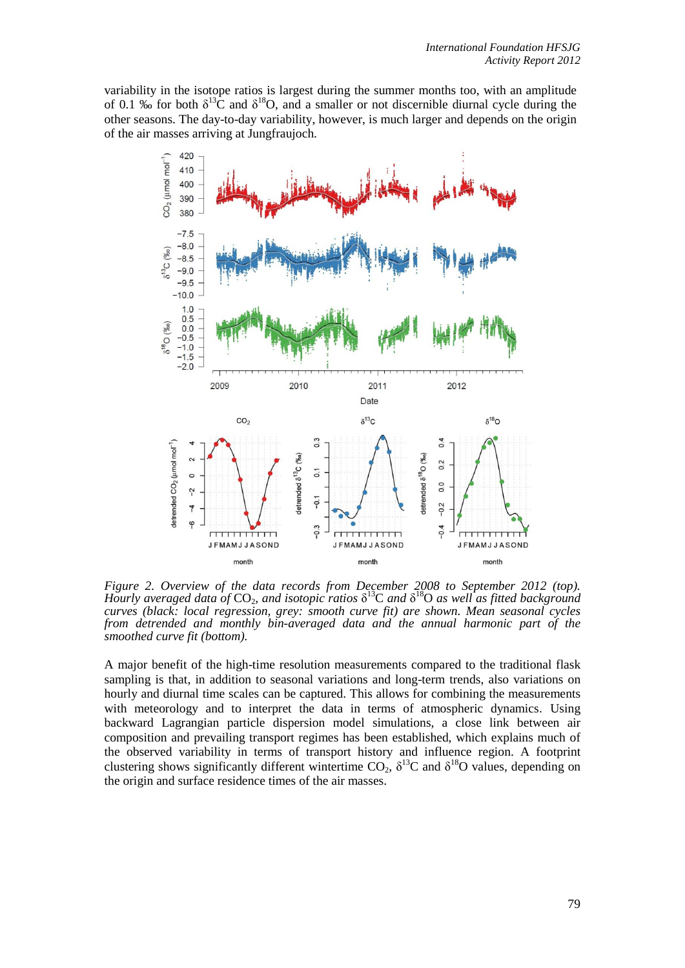variability in the isotope ratios is largest during the summer months too, with an amplitude of 0.1 % for both  $\delta^{13}C$  and  $\delta^{18}O$ , and a smaller or not discernible diurnal cycle during the other seasons. The day-to-day variability, however, is much larger and depends on the origin of the air masses arriving at Jungfraujoch.



*Figure 2. Overview of the data records from December 2008 to September 2012 (top). Hourly averaged data of* CO<sub>2</sub>*, and isotopic ratios* δ<sup>13</sup>C *and* δ<sup>18</sup>O *as well as fitted background curves (black: local regression, grey: smooth curve fit) are shown. Mean seasonal cycles from detrended and monthly bin-averaged data and the annual harmonic part of the smoothed curve fit (bottom).*

A major benefit of the high-time resolution measurements compared to the traditional flask sampling is that, in addition to seasonal variations and long-term trends, also variations on hourly and diurnal time scales can be captured. This allows for combining the measurements with meteorology and to interpret the data in terms of atmospheric dynamics. Using backward Lagrangian particle dispersion model simulations, a close link between air composition and prevailing transport regimes has been established, which explains much of the observed variability in terms of transport history and influence region. A footprint clustering shows significantly different wintertime  $CO_2$ ,  $\delta^{13}C$  and  $\delta^{18}O$  values, depending on the origin and surface residence times of the air masses.